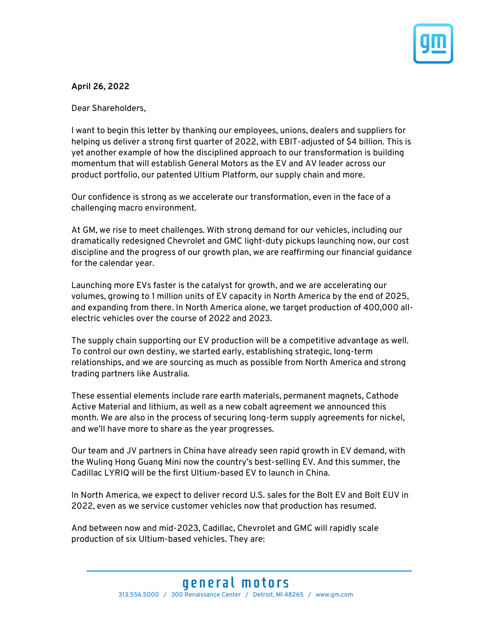

**April 26, 2022**

Dear Shareholders,

I want to begin this letter by thanking our employees, unions, dealers and suppliers for helping us deliver a strong first quarter of 2022, with EBIT-adjusted of \$4 billion. This is yet another example of how the disciplined approach to our transformation is building momentum that will establish General Motors as the EV and AV leader across our product portfolio, our patented Ultium Platform, our supply chain and more.

Our confidence is strong as we accelerate our transformation, even in the face of a challenging macro environment.

At GM, we rise to meet challenges. With strong demand for our vehicles, including our dramatically redesigned Chevrolet and GMC light-duty pickups launching now, our cost discipline and the progress of our growth plan, we are reaffirming our financial guidance for the calendar year.

Launching more EVs faster is the catalyst for growth, and we are accelerating our volumes, growing to 1 million units of EV capacity in North America by the end of 2025, and expanding from there. In North America alone, we target production of 400,000 allelectric vehicles over the course of 2022 and 2023.

The supply chain supporting our EV production will be a competitive advantage as well. To control our own destiny, we started early, establishing strategic, long-term relationships, and we are sourcing as much as possible from North America and strong trading partners like Australia.

These essential elements include rare earth materials, permanent magnets, Cathode Active Material and lithium, as well as a new cobalt agreement we announced this month. We are also in the process of securing long-term supply agreements for nickel, and we'll have more to share as the year progresses.

Our team and JV partners in China have already seen rapid growth in EV demand, with the Wuling Hong Guang Mini now the country's best-selling EV. And this summer, the Cadillac LYRIQ will be the first Ultium-based EV to launch in China.

In North America, we expect to deliver record U.S. sales for the Bolt EV and Bolt EUV in 2022, even as we service customer vehicles now that production has resumed.

And between now and mid-2023, Cadillac, Chevrolet and GMC will rapidly scale production of six Ultium-based vehicles. They are: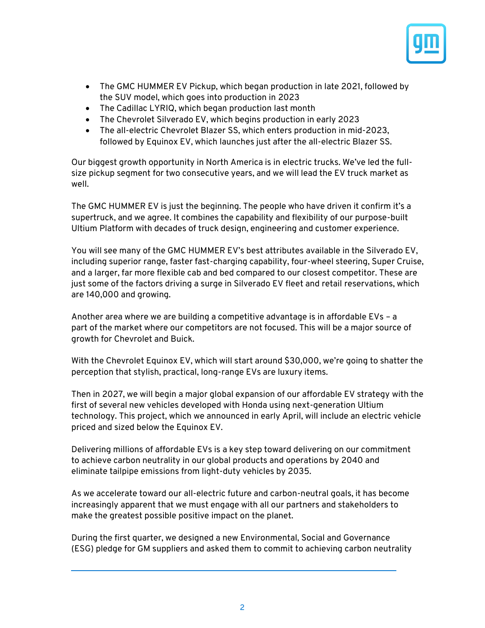

- The GMC HUMMER EV Pickup, which began production in late 2021, followed by the SUV model, which goes into production in 2023
- The Cadillac LYRIQ, which began production last month
- The Chevrolet Silverado EV, which begins production in early 2023
- The all-electric Chevrolet Blazer SS, which enters production in mid-2023, followed by Equinox EV, which launches just after the all-electric Blazer SS.

Our biggest growth opportunity in North America is in electric trucks. We've led the fullsize pickup segment for two consecutive years, and we will lead the EV truck market as well.

The GMC HUMMER EV is just the beginning. The people who have driven it confirm it's a supertruck, and we agree. It combines the capability and flexibility of our purpose-built Ultium Platform with decades of truck design, engineering and customer experience.

You will see many of the GMC HUMMER EV's best attributes available in the Silverado EV, including superior range, faster fast-charging capability, four-wheel steering, Super Cruise, and a larger, far more flexible cab and bed compared to our closest competitor. These are just some of the factors driving a surge in Silverado EV fleet and retail reservations, which are 140,000 and growing.

Another area where we are building a competitive advantage is in affordable EVs – a part of the market where our competitors are not focused. This will be a major source of growth for Chevrolet and Buick.

With the Chevrolet Equinox EV, which will start around \$30,000, we're going to shatter the perception that stylish, practical, long-range EVs are luxury items.

Then in 2027, we will begin a major global expansion of our affordable EV strategy with the first of several new vehicles developed with Honda using next-generation Ultium technology. This project, which we announced in early April, will include an electric vehicle priced and sized below the Equinox EV.

Delivering millions of affordable EVs is a key step toward delivering on our commitment to achieve carbon neutrality in our global products and operations by 2040 and eliminate tailpipe emissions from light-duty vehicles by 2035.

As we accelerate toward our all-electric future and carbon-neutral goals, it has become increasingly apparent that we must engage with all our partners and stakeholders to make the greatest possible positive impact on the planet.

During the first quarter, we designed a new Environmental, Social and Governance (ESG) pledge for GM suppliers and asked them to commit to achieving carbon neutrality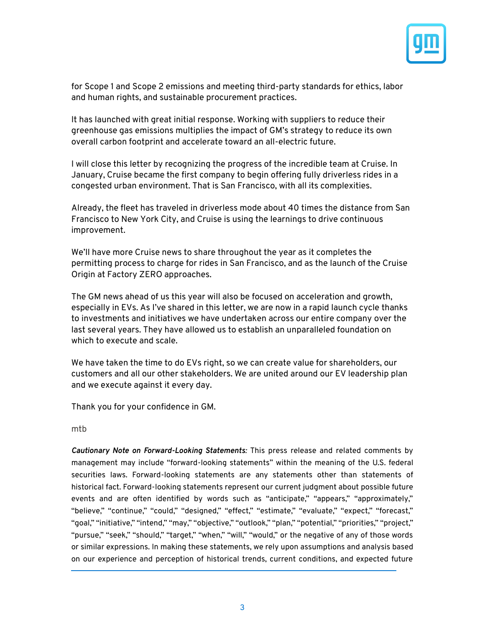

for Scope 1 and Scope 2 emissions and meeting third-party standards for ethics, labor and human rights, and sustainable procurement practices.

It has launched with great initial response. Working with suppliers to reduce their greenhouse gas emissions multiplies the impact of GM's strategy to reduce its own overall carbon footprint and accelerate toward an all-electric future.

I will close this letter by recognizing the progress of the incredible team at Cruise. In January, Cruise became the first company to begin offering fully driverless rides in a congested urban environment. That is San Francisco, with all its complexities.

Already, the fleet has traveled in driverless mode about 40 times the distance from San Francisco to New York City, and Cruise is using the learnings to drive continuous improvement.

We'll have more Cruise news to share throughout the year as it completes the permitting process to charge for rides in San Francisco, and as the launch of the Cruise Origin at Factory ZERO approaches.

The GM news ahead of us this year will also be focused on acceleration and growth, especially in EVs. As I've shared in this letter, we are now in a rapid launch cycle thanks to investments and initiatives we have undertaken across our entire company over the last several years. They have allowed us to establish an unparalleled foundation on which to execute and scale.

We have taken the time to do EVs right, so we can create value for shareholders, our customers and all our other stakeholders. We are united around our EV leadership plan and we execute against it every day.

Thank you for your confidence in GM.

mtb

*Cautionary Note on Forward-Looking Statements:* This press release and related comments by management may include "forward-looking statements" within the meaning of the U.S. federal securities laws. Forward-looking statements are any statements other than statements of historical fact. Forward-looking statements represent our current judgment about possible future events and are often identified by words such as "anticipate," "appears," "approximately," "believe," "continue," "could," "designed," "effect," "estimate," "evaluate," "expect," "forecast," "goal," "initiative," "intend," "may," "objective," "outlook," "plan," "potential," "priorities," "project," "pursue," "seek," "should," "target," "when," "will," "would," or the negative of any of those words or similar expressions. In making these statements, we rely upon assumptions and analysis based on our experience and perception of historical trends, current conditions, and expected future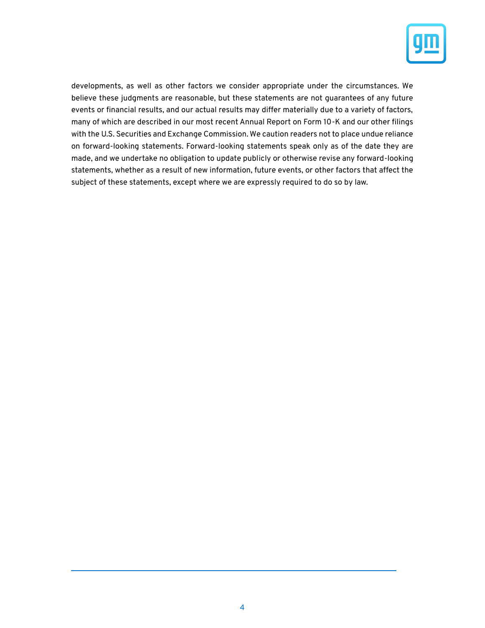

developments, as well as other factors we consider appropriate under the circumstances. We believe these judgments are reasonable, but these statements are not guarantees of any future events or financial results, and our actual results may differ materially due to a variety of factors, many of which are described in our most recent Annual Report on Form 10-K and our other filings with the U.S. Securities and Exchange Commission. We caution readers not to place undue reliance on forward-looking statements. Forward-looking statements speak only as of the date they are made, and we undertake no obligation to update publicly or otherwise revise any forward-looking statements, whether as a result of new information, future events, or other factors that affect the subject of these statements, except where we are expressly required to do so by law.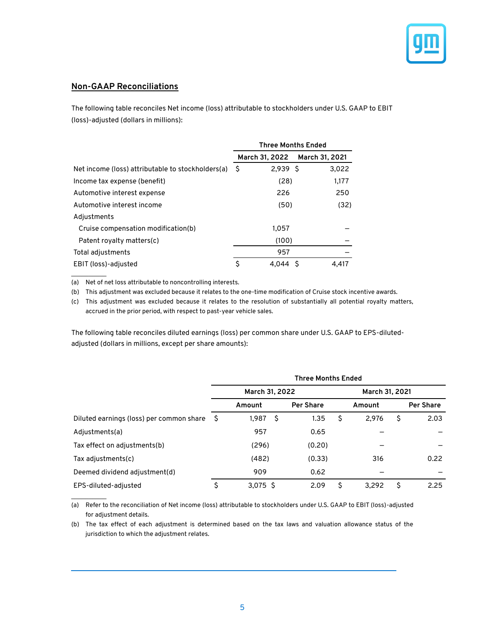

## **Non-GAAP Reconciliations**

The following table reconciles Net income (loss) attributable to stockholders under U.S. GAAP to EBIT (loss)-adjusted (dollars in millions):

|                                                   | <b>Three Months Ended</b> |                |                |       |  |
|---------------------------------------------------|---------------------------|----------------|----------------|-------|--|
|                                                   |                           | March 31, 2022 | March 31, 2021 |       |  |
| Net income (loss) attributable to stockholders(a) | S                         | 2.939S         |                | 3,022 |  |
| Income tax expense (benefit)                      |                           | (28)           |                | 1,177 |  |
| Automotive interest expense                       |                           | 226            |                | 250   |  |
| Automotive interest income                        |                           | (50)           |                | (32)  |  |
| Adjustments                                       |                           |                |                |       |  |
| Cruise compensation modification(b)               |                           | 1,057          |                |       |  |
| Patent royalty matters(c)                         |                           | (100)          |                |       |  |
| Total adjustments                                 |                           | 957            |                |       |  |
| EBIT (loss)-adjusted                              | \$                        | 4.044          | - S            | 4.417 |  |

(a) Net of net loss attributable to noncontrolling interests.

 $\mathcal{L}_\text{max}$ 

 $\mathcal{L}_\text{max}$ 

(b) This adjustment was excluded because it relates to the one-time modification of Cruise stock incentive awards.

(c) This adjustment was excluded because it relates to the resolution of substantially all potential royalty matters, accrued in the prior period, with respect to past-year vehicle sales.

The following table reconciles diluted earnings (loss) per common share under U.S. GAAP to EPS-dilutedadjusted (dollars in millions, except per share amounts):

|                                          | <b>Three Months Ended</b> |                |  |                  |   |        |   |                  |
|------------------------------------------|---------------------------|----------------|--|------------------|---|--------|---|------------------|
|                                          |                           | March 31, 2022 |  | March 31, 2021   |   |        |   |                  |
|                                          |                           | Amount         |  | <b>Per Share</b> |   | Amount |   | <b>Per Share</b> |
| Diluted earnings (loss) per common share | -S                        | 1,987<br>-\$   |  | 1.35             | S | 2,976  | S | 2.03             |
| Adjustments(a)                           |                           | 957            |  | 0.65             |   |        |   |                  |
| Tax effect on adjustments(b)             |                           | (296)          |  | (0.20)           |   |        |   |                  |
| Tax adjustments(c)                       |                           | (482)          |  | (0.33)           |   | 316    |   | 0.22             |
| Deemed dividend adjustment(d)            |                           | 909            |  | 0.62             |   |        |   |                  |
| EPS-diluted-adjusted                     | \$                        | 3.075S         |  | 2.09             | S | 3.292  | Ś | 2.25             |

(a) Refer to the reconciliation of Net income (loss) attributable to stockholders under U.S. GAAP to EBIT (loss)-adjusted for adjustment details.

(b) The tax effect of each adjustment is determined based on the tax laws and valuation allowance status of the jurisdiction to which the adjustment relates.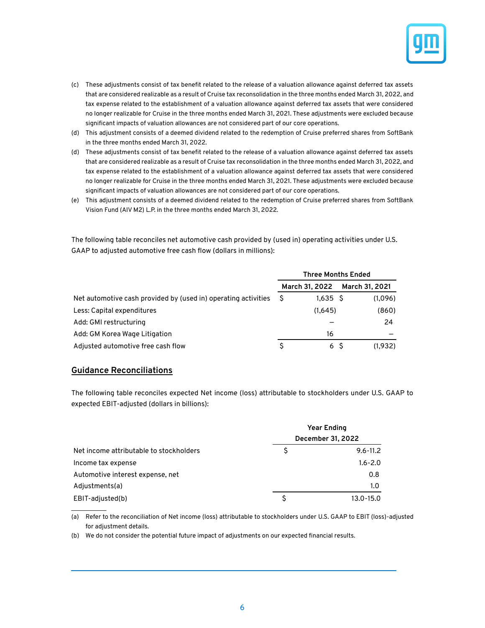

- (c) These adjustments consist of tax benefit related to the release of a valuation allowance against deferred tax assets that are considered realizable as a result of Cruise tax reconsolidation in the three months ended March 31, 2022, and tax expense related to the establishment of a valuation allowance against deferred tax assets that were considered no longer realizable for Cruise in the three months ended March 31, 2021. These adjustments were excluded because significant impacts of valuation allowances are not considered part of our core operations.
- (d) This adjustment consists of a deemed dividend related to the redemption of Cruise preferred shares from SoftBank in the three months ended March 31, 2022.
- (d) These adjustments consist of tax benefit related to the release of a valuation allowance against deferred tax assets that are considered realizable as a result of Cruise tax reconsolidation in the three months ended March 31, 2022, and tax expense related to the establishment of a valuation allowance against deferred tax assets that were considered no longer realizable for Cruise in the three months ended March 31, 2021. These adjustments were excluded because significant impacts of valuation allowances are not considered part of our core operations.
- (e) This adjustment consists of a deemed dividend related to the redemption of Cruise preferred shares from SoftBank Vision Fund (AIV M2) L.P. in the three months ended March 31, 2022.

The following table reconciles net automotive cash provided by (used in) operating activities under U.S. GAAP to adjusted automotive free cash flow (dollars in millions):

|                                                                | <b>Three Months Ended</b> |                |  |                |
|----------------------------------------------------------------|---------------------------|----------------|--|----------------|
|                                                                |                           | March 31, 2022 |  | March 31, 2021 |
| Net automotive cash provided by (used in) operating activities | S                         | 1.635 S        |  | (1,096)        |
| Less: Capital expenditures                                     |                           | (1,645)        |  | (860)          |
| Add: GMI restructuring                                         |                           |                |  | 24             |
| Add: GM Korea Wage Litigation                                  |                           | 16             |  |                |
| Adjusted automotive free cash flow                             | S                         | 6 S            |  | (1.932)        |

## **Guidance Reconciliations**

 $\mathcal{L}_\text{max}$ 

The following table reconciles expected Net income (loss) attributable to stockholders under U.S. GAAP to expected EBIT-adjusted (dollars in billions):

|                                         |   | Year Ending       |  |  |
|-----------------------------------------|---|-------------------|--|--|
|                                         |   | December 31, 2022 |  |  |
| Net income attributable to stockholders |   | $9.6 - 11.2$      |  |  |
| Income tax expense                      |   | $1.6 - 2.0$       |  |  |
| Automotive interest expense, net        |   | 0.8               |  |  |
| Adjustments(a)                          |   | 1.0               |  |  |
| EBIT-adjusted(b)                        | S | 13.0-15.0         |  |  |

(a) Refer to the reconciliation of Net income (loss) attributable to stockholders under U.S. GAAP to EBIT (loss)-adjusted for adjustment details.

(b) We do not consider the potential future impact of adjustments on our expected financial results.